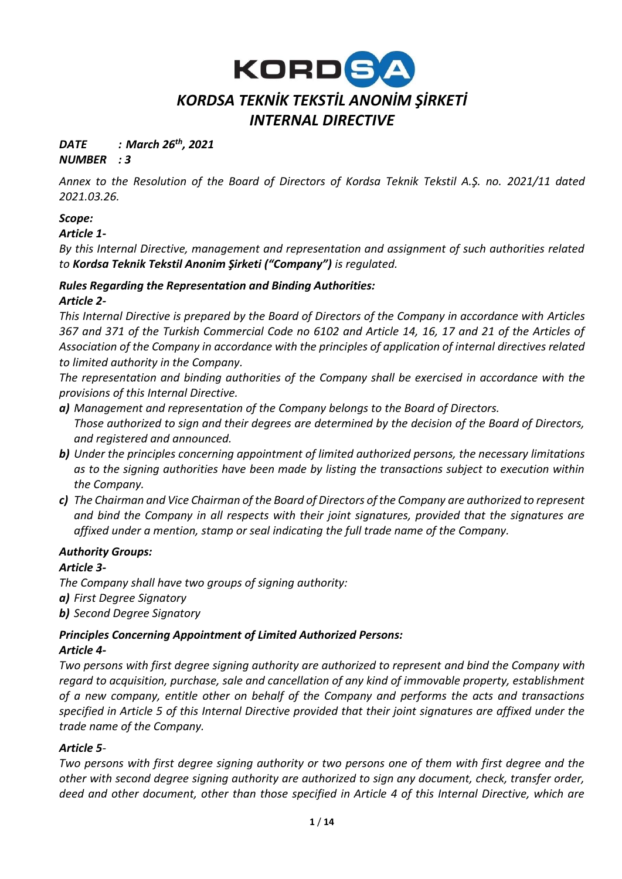

# *DATE : March 26th, 2021*

*NUMBER : 3* 

*Annex to the Resolution of the Board of Directors of Kordsa Teknik Tekstil A.Ş. no. 2021/11 dated 2021.03.26.*

# *Scope:*

#### *Article 1-*

*By this Internal Directive, management and representation and assignment of such authorities related to Kordsa Teknik Tekstil Anonim Şirketi ("Company") is regulated.*

# *Rules Regarding the Representation and Binding Authorities:*

#### *Article 2-*

*This Internal Directive is prepared by the Board of Directors of the Company in accordance with Articles 367 and 371 of the Turkish Commercial Code no 6102 and Article 14, 16, 17 and 21 of the Articles of Association of the Company in accordance with the principles of application of internal directives related to limited authority in the Company.*

*The representation and binding authorities of the Company shall be exercised in accordance with the provisions of this Internal Directive.*

- *a) Management and representation of the Company belongs to the Board of Directors. Those authorized to sign and their degrees are determined by the decision of the Board of Directors, and registered and announced.*
- *b) Under the principles concerning appointment of limited authorized persons, the necessary limitations as to the signing authorities have been made by listing the transactions subject to execution within the Company.*
- *c) The Chairman and Vice Chairman of the Board of Directors of the Company are authorized to represent and bind the Company in all respects with their joint signatures, provided that the signatures are affixed under a mention, stamp or seal indicating the full trade name of the Company.*

#### *Authority Groups:*

#### *Article 3-*

*The Company shall have two groups of signing authority:* 

*a) First Degree Signatory*

*b) Second Degree Signatory*

# *Principles Concerning Appointment of Limited Authorized Persons:*

#### *Article 4-*

*Two persons with first degree signing authority are authorized to represent and bind the Company with regard to acquisition, purchase, sale and cancellation of any kind of immovable property, establishment of a new company, entitle other on behalf of the Company and performs the acts and transactions specified in Article 5 of this Internal Directive provided that their joint signatures are affixed under the trade name of the Company.* 

#### *Article 5-*

*Two persons with first degree signing authority or two persons one of them with first degree and the other with second degree signing authority are authorized to sign any document, check, transfer order, deed and other document, other than those specified in Article 4 of this Internal Directive, which are*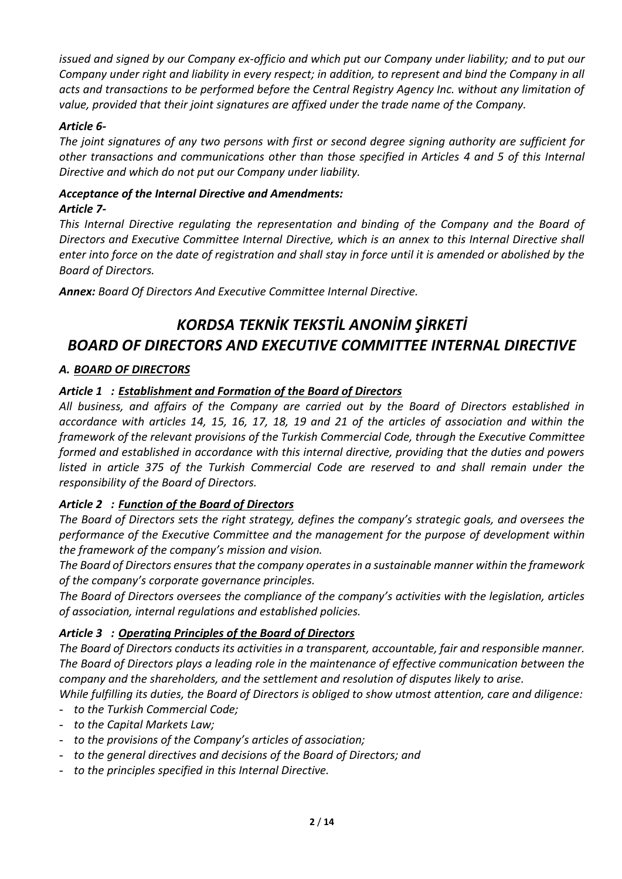*issued and signed by our Company ex-officio and which put our Company under liability; and to put our Company under right and liability in every respect; in addition, to represent and bind the Company in all acts and transactions to be performed before the Central Registry Agency Inc. without any limitation of value, provided that their joint signatures are affixed under the trade name of the Company.* 

#### *Article 6-*

*The joint signatures of any two persons with first or second degree signing authority are sufficient for other transactions and communications other than those specified in Articles 4 and 5 of this Internal Directive and which do not put our Company under liability.* 

#### *Acceptance of the Internal Directive and Amendments: Article 7-*

*This Internal Directive regulating the representation and binding of the Company and the Board of Directors and Executive Committee Internal Directive, which is an annex to this Internal Directive shall enter into force on the date of registration and shall stay in force until it is amended or abolished by the Board of Directors.*

*Annex: Board Of Directors And Executive Committee Internal Directive.*

# *KORDSA TEKNİK TEKSTİL ANONİM ŞİRKETİ BOARD OF DIRECTORS AND EXECUTIVE COMMITTEE INTERNAL DIRECTIVE*

# *A. BOARD OF DIRECTORS*

# *Article 1 : Establishment and Formation of the Board of Directors*

*All business, and affairs of the Company are carried out by the Board of Directors established in accordance with articles 14, 15, 16, 17, 18, 19 and 21 of the articles of association and within the framework of the relevant provisions of the Turkish Commercial Code, through the Executive Committee formed and established in accordance with this internal directive, providing that the duties and powers listed in article 375 of the Turkish Commercial Code are reserved to and shall remain under the responsibility of the Board of Directors.* 

# *Article 2 : Function of the Board of Directors*

*The Board of Directors sets the right strategy, defines the company's strategic goals, and oversees the performance of the Executive Committee and the management for the purpose of development within the framework of the company's mission and vision.* 

*The Board of Directors ensures that the company operates in a sustainable manner within the framework of the company's corporate governance principles.* 

*The Board of Directors oversees the compliance of the company's activities with the legislation, articles of association, internal regulations and established policies.* 

# *Article 3 : Operating Principles of the Board of Directors*

*The Board of Directors conducts its activities in a transparent, accountable, fair and responsible manner. The Board of Directors plays a leading role in the maintenance of effective communication between the company and the shareholders, and the settlement and resolution of disputes likely to arise.* 

*While fulfilling its duties, the Board of Directors is obliged to show utmost attention, care and diligence:* 

- *to the Turkish Commercial Code;*
- *to the Capital Markets Law;*
- *to the provisions of the Company's articles of association;*
- *to the general directives and decisions of the Board of Directors; and*
- *to the principles specified in this Internal Directive.*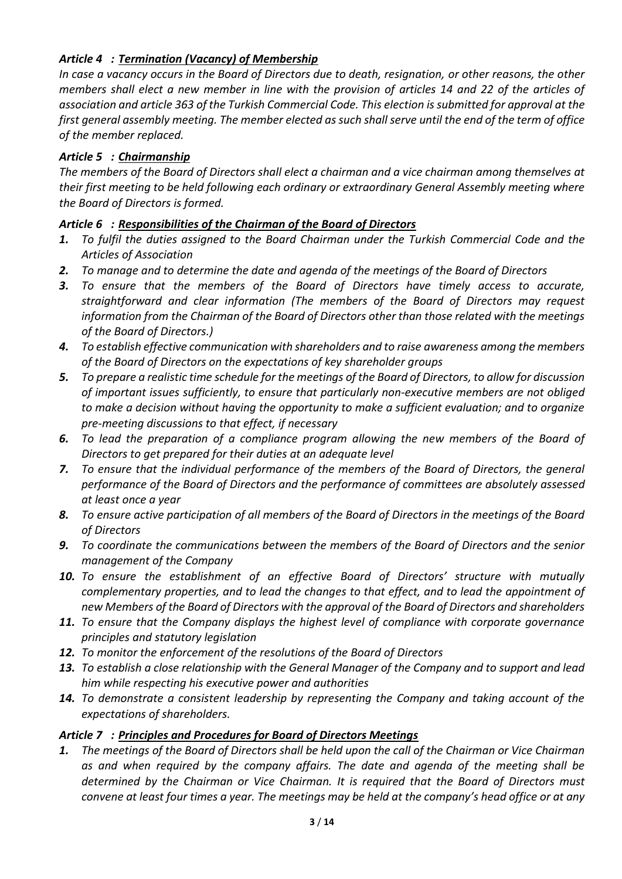# *Article 4 : Termination (Vacancy) of Membership*

*In case a vacancy occurs in the Board of Directors due to death, resignation, or other reasons, the other members shall elect a new member in line with the provision of articles 14 and 22 of the articles of association and article 363 of the Turkish Commercial Code. This election is submitted for approval at the first general assembly meeting. The member elected as such shall serve until the end of the term of office of the member replaced.* 

#### *Article 5 : Chairmanship*

*The members of the Board of Directors shall elect a chairman and a vice chairman among themselves at their first meeting to be held following each ordinary or extraordinary General Assembly meeting where the Board of Directors is formed.* 

# *Article 6 : Responsibilities of the Chairman of the Board of Directors*

- *1. To fulfil the duties assigned to the Board Chairman under the Turkish Commercial Code and the Articles of Association*
- *2. To manage and to determine the date and agenda of the meetings of the Board of Directors*
- *3. To ensure that the members of the Board of Directors have timely access to accurate, straightforward and clear information (The members of the Board of Directors may request information from the Chairman of the Board of Directors other than those related with the meetings of the Board of Directors.)*
- *4. To establish effective communication with shareholders and to raise awareness among the members of the Board of Directors on the expectations of key shareholder groups*
- *5. To prepare a realistic time schedule for the meetings of the Board of Directors, to allow for discussion of important issues sufficiently, to ensure that particularly non-executive members are not obliged to make a decision without having the opportunity to make a sufficient evaluation; and to organize pre-meeting discussions to that effect, if necessary*
- *6. To lead the preparation of a compliance program allowing the new members of the Board of Directors to get prepared for their duties at an adequate level*
- *7. To ensure that the individual performance of the members of the Board of Directors, the general performance of the Board of Directors and the performance of committees are absolutely assessed at least once a year*
- *8. To ensure active participation of all members of the Board of Directors in the meetings of the Board of Directors*
- *9. To coordinate the communications between the members of the Board of Directors and the senior management of the Company*
- *10. To ensure the establishment of an effective Board of Directors' structure with mutually complementary properties, and to lead the changes to that effect, and to lead the appointment of new Members of the Board of Directors with the approval of the Board of Directors and shareholders*
- *11. To ensure that the Company displays the highest level of compliance with corporate governance principles and statutory legislation*
- *12. To monitor the enforcement of the resolutions of the Board of Directors*
- *13. To establish a close relationship with the General Manager of the Company and to support and lead him while respecting his executive power and authorities*
- *14. To demonstrate a consistent leadership by representing the Company and taking account of the expectations of shareholders.*

#### *Article 7 : Principles and Procedures for Board of Directors Meetings*

*1. The meetings of the Board of Directors shall be held upon the call of the Chairman or Vice Chairman as and when required by the company affairs. The date and agenda of the meeting shall be determined by the Chairman or Vice Chairman. It is required that the Board of Directors must convene at least four times a year. The meetings may be held at the company's head office or at any*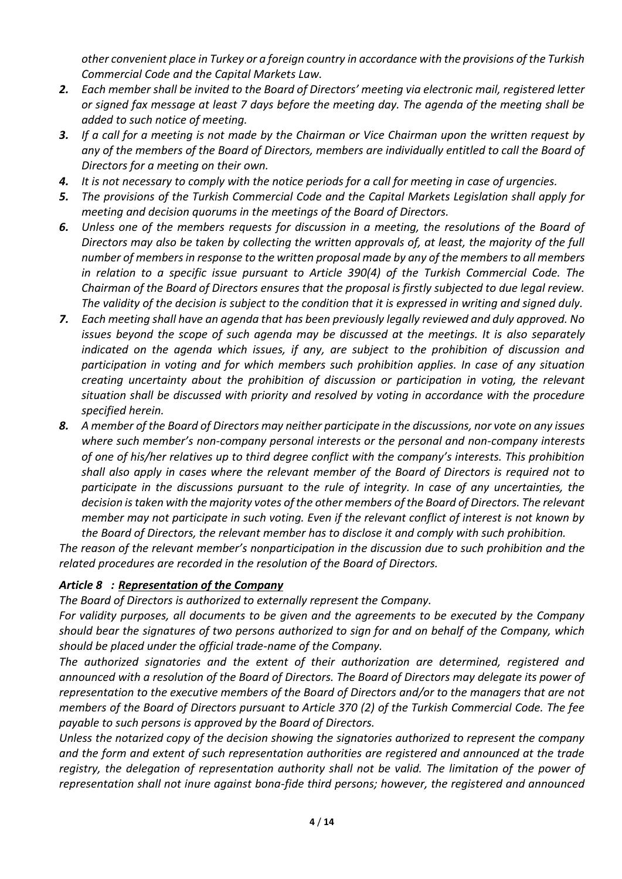*other convenient place in Turkey or a foreign country in accordance with the provisions of the Turkish Commercial Code and the Capital Markets Law.* 

- *2. Each member shall be invited to the Board of Directors' meeting via electronic mail, registered letter or signed fax message at least 7 days before the meeting day. The agenda of the meeting shall be added to such notice of meeting.*
- *3. If a call for a meeting is not made by the Chairman or Vice Chairman upon the written request by any of the members of the Board of Directors, members are individually entitled to call the Board of Directors for a meeting on their own.*
- *4. It is not necessary to comply with the notice periods for a call for meeting in case of urgencies.*
- *5. The provisions of the Turkish Commercial Code and the Capital Markets Legislation shall apply for meeting and decision quorums in the meetings of the Board of Directors.*
- *6. Unless one of the members requests for discussion in a meeting, the resolutions of the Board of Directors may also be taken by collecting the written approvals of, at least, the majority of the full number of members in response to the written proposal made by any of the members to all members in relation to a specific issue pursuant to Article 390(4) of the Turkish Commercial Code. The Chairman of the Board of Directors ensures that the proposal is firstly subjected to due legal review. The validity of the decision is subject to the condition that it is expressed in writing and signed duly.*
- *7. Each meeting shall have an agenda that has been previously legally reviewed and duly approved. No issues beyond the scope of such agenda may be discussed at the meetings. It is also separately indicated on the agenda which issues, if any, are subject to the prohibition of discussion and participation in voting and for which members such prohibition applies. In case of any situation creating uncertainty about the prohibition of discussion or participation in voting, the relevant situation shall be discussed with priority and resolved by voting in accordance with the procedure specified herein.*
- *8. A member of the Board of Directors may neither participate in the discussions, nor vote on any issues where such member's non-company personal interests or the personal and non-company interests of one of his/her relatives up to third degree conflict with the company's interests. This prohibition shall also apply in cases where the relevant member of the Board of Directors is required not to participate in the discussions pursuant to the rule of integrity. In case of any uncertainties, the decision is taken with the majority votes of the other members of the Board of Directors. The relevant member may not participate in such voting. Even if the relevant conflict of interest is not known by the Board of Directors, the relevant member has to disclose it and comply with such prohibition.*

*The reason of the relevant member's nonparticipation in the discussion due to such prohibition and the related procedures are recorded in the resolution of the Board of Directors.* 

#### *Article 8 : Representation of the Company*

*The Board of Directors is authorized to externally represent the Company.* 

*For validity purposes, all documents to be given and the agreements to be executed by the Company should bear the signatures of two persons authorized to sign for and on behalf of the Company, which should be placed under the official trade-name of the Company.* 

*The authorized signatories and the extent of their authorization are determined, registered and announced with a resolution of the Board of Directors. The Board of Directors may delegate its power of representation to the executive members of the Board of Directors and/or to the managers that are not members of the Board of Directors pursuant to Article 370 (2) of the Turkish Commercial Code. The fee payable to such persons is approved by the Board of Directors.* 

*Unless the notarized copy of the decision showing the signatories authorized to represent the company and the form and extent of such representation authorities are registered and announced at the trade registry, the delegation of representation authority shall not be valid. The limitation of the power of representation shall not inure against bona-fide third persons; however, the registered and announced*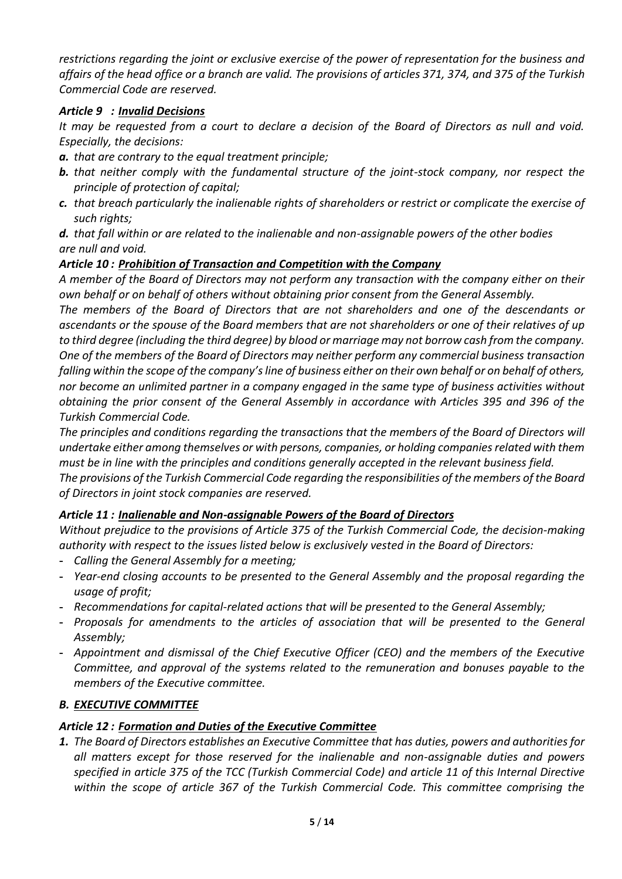*restrictions regarding the joint or exclusive exercise of the power of representation for the business and affairs of the head office or a branch are valid. The provisions of articles 371, 374, and 375 of the Turkish Commercial Code are reserved.* 

# *Article 9 : Invalid Decisions*

*It may be requested from a court to declare a decision of the Board of Directors as null and void. Especially, the decisions:*

- *a. that are contrary to the equal treatment principle;*
- *b. that neither comply with the fundamental structure of the joint-stock company, nor respect the principle of protection of capital;*
- *c. that breach particularly the inalienable rights of shareholders or restrict or complicate the exercise of such rights;*

*d. that fall within or are related to the inalienable and non-assignable powers of the other bodies are null and void.* 

# *Article 10 : Prohibition of Transaction and Competition with the Company*

*A member of the Board of Directors may not perform any transaction with the company either on their own behalf or on behalf of others without obtaining prior consent from the General Assembly.*

*The members of the Board of Directors that are not shareholders and one of the descendants or ascendants or the spouse of the Board members that are not shareholders or one of their relatives of up to third degree (including the third degree) by blood or marriage may not borrow cash from the company. One of the members of the Board of Directors may neither perform any commercial business transaction falling within the scope of the company's line of business either on their own behalf or on behalf of others, nor become an unlimited partner in a company engaged in the same type of business activities without obtaining the prior consent of the General Assembly in accordance with Articles 395 and 396 of the Turkish Commercial Code.* 

*The principles and conditions regarding the transactions that the members of the Board of Directors will undertake either among themselves or with persons, companies, or holding companies related with them must be in line with the principles and conditions generally accepted in the relevant business field. The provisions of the Turkish Commercial Code regarding the responsibilities of the members of the Board of Directors in joint stock companies are reserved.* 

# *Article 11 : Inalienable and Non-assignable Powers of the Board of Directors*

*Without prejudice to the provisions of Article 375 of the Turkish Commercial Code, the decision-making authority with respect to the issues listed below is exclusively vested in the Board of Directors:* 

- **-** *Calling the General Assembly for a meeting;*
- **-** *Year-end closing accounts to be presented to the General Assembly and the proposal regarding the usage of profit;*
- **-** *Recommendations for capital-related actions that will be presented to the General Assembly;*
- **-** *Proposals for amendments to the articles of association that will be presented to the General Assembly;*
- **-** *Appointment and dismissal of the Chief Executive Officer (CEO) and the members of the Executive Committee, and approval of the systems related to the remuneration and bonuses payable to the members of the Executive committee.*

# *B. EXECUTIVE COMMITTEE*

# *Article 12 : Formation and Duties of the Executive Committee*

*1. The Board of Directors establishes an Executive Committee that has duties, powers and authorities for all matters except for those reserved for the inalienable and non-assignable duties and powers specified in article 375 of the TCC (Turkish Commercial Code) and article 11 of this Internal Directive within the scope of article 367 of the Turkish Commercial Code. This committee comprising the*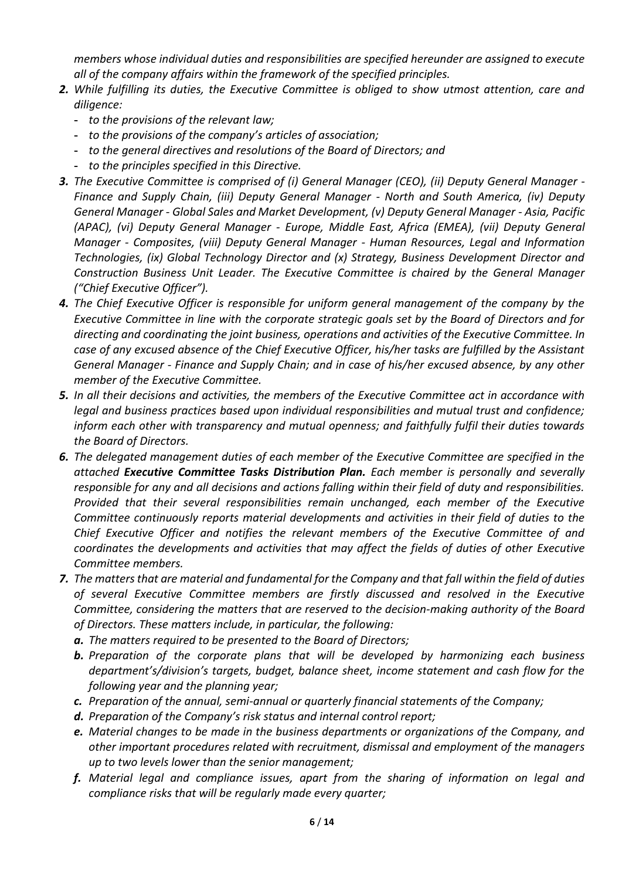*members whose individual duties and responsibilities are specified hereunder are assigned to execute all of the company affairs within the framework of the specified principles.* 

- *2. While fulfilling its duties, the Executive Committee is obliged to show utmost attention, care and diligence:* 
	- **-** *to the provisions of the relevant law;*
	- **-** *to the provisions of the company's articles of association;*
	- **-** *to the general directives and resolutions of the Board of Directors; and*
	- **-** *to the principles specified in this Directive.*
- *3. The Executive Committee is comprised of (i) General Manager (CEO), (ii) Deputy General Manager - Finance and Supply Chain, (iii) Deputy General Manager - North and South America, (iv) Deputy General Manager - Global Sales and Market Development, (v) Deputy General Manager - Asia, Pacific (APAC), (vi) Deputy General Manager - Europe, Middle East, Africa (EMEA), (vii) Deputy General Manager - Composites, (viii) Deputy General Manager - Human Resources, Legal and Information Technologies, (ix) Global Technology Director and (x) Strategy, Business Development Director and Construction Business Unit Leader. The Executive Committee is chaired by the General Manager ("Chief Executive Officer").*
- *4. The Chief Executive Officer is responsible for uniform general management of the company by the Executive Committee in line with the corporate strategic goals set by the Board of Directors and for directing and coordinating the joint business, operations and activities of the Executive Committee. In case of any excused absence of the Chief Executive Officer, his/her tasks are fulfilled by the Assistant General Manager - Finance and Supply Chain; and in case of his/her excused absence, by any other member of the Executive Committee.*
- *5. In all their decisions and activities, the members of the Executive Committee act in accordance with legal and business practices based upon individual responsibilities and mutual trust and confidence; inform each other with transparency and mutual openness; and faithfully fulfil their duties towards the Board of Directors.*
- *6. The delegated management duties of each member of the Executive Committee are specified in the attached Executive Committee Tasks Distribution Plan. Each member is personally and severally responsible for any and all decisions and actions falling within their field of duty and responsibilities. Provided that their several responsibilities remain unchanged, each member of the Executive Committee continuously reports material developments and activities in their field of duties to the Chief Executive Officer and notifies the relevant members of the Executive Committee of and coordinates the developments and activities that may affect the fields of duties of other Executive Committee members.*
- *7. The matters that are material and fundamental for the Company and that fall within the field of duties of several Executive Committee members are firstly discussed and resolved in the Executive Committee, considering the matters that are reserved to the decision-making authority of the Board of Directors. These matters include, in particular, the following:* 
	- *a. The matters required to be presented to the Board of Directors;*
	- *b. Preparation of the corporate plans that will be developed by harmonizing each business department's/division's targets, budget, balance sheet, income statement and cash flow for the following year and the planning year;*
	- *c. Preparation of the annual, semi-annual or quarterly financial statements of the Company;*
	- *d. Preparation of the Company's risk status and internal control report;*
	- *e. Material changes to be made in the business departments or organizations of the Company, and other important procedures related with recruitment, dismissal and employment of the managers up to two levels lower than the senior management;*
	- *f. Material legal and compliance issues, apart from the sharing of information on legal and compliance risks that will be regularly made every quarter;*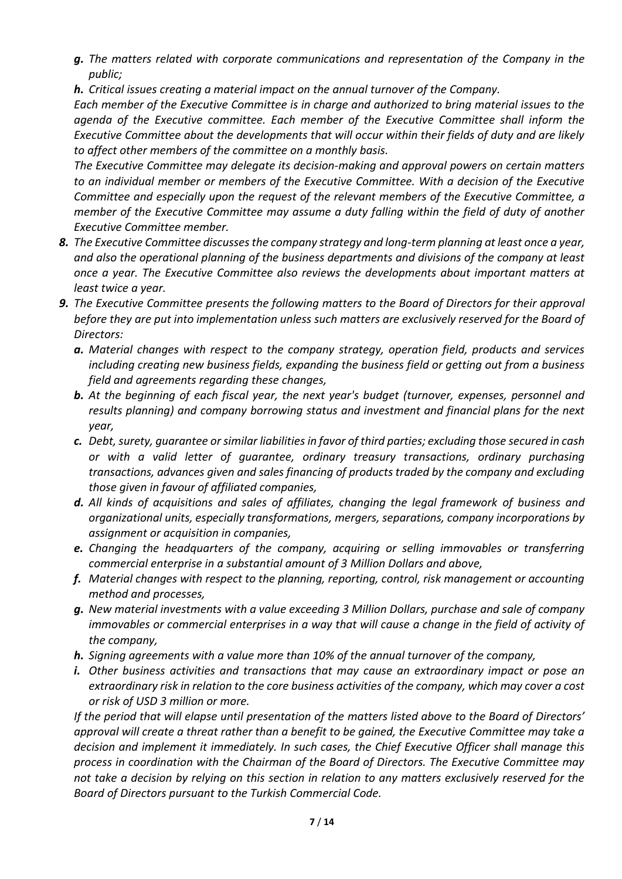*g. The matters related with corporate communications and representation of the Company in the public;* 

*h. Critical issues creating a material impact on the annual turnover of the Company.* 

*Each member of the Executive Committee is in charge and authorized to bring material issues to the agenda of the Executive committee. Each member of the Executive Committee shall inform the Executive Committee about the developments that will occur within their fields of duty and are likely to affect other members of the committee on a monthly basis.* 

*The Executive Committee may delegate its decision-making and approval powers on certain matters to an individual member or members of the Executive Committee. With a decision of the Executive Committee and especially upon the request of the relevant members of the Executive Committee, a member of the Executive Committee may assume a duty falling within the field of duty of another Executive Committee member.* 

- *8. The Executive Committee discusses the company strategy and long-term planning at least once a year, and also the operational planning of the business departments and divisions of the company at least once a year. The Executive Committee also reviews the developments about important matters at least twice a year.*
- *9. The Executive Committee presents the following matters to the Board of Directors for their approval before they are put into implementation unless such matters are exclusively reserved for the Board of Directors:* 
	- *a. Material changes with respect to the company strategy, operation field, products and services including creating new business fields, expanding the business field or getting out from a business field and agreements regarding these changes,*
	- *b. At the beginning of each fiscal year, the next year's budget (turnover, expenses, personnel and results planning) and company borrowing status and investment and financial plans for the next year,*
	- *c. Debt, surety, guarantee or similar liabilities in favor of third parties; excluding those secured in cash or with a valid letter of guarantee, ordinary treasury transactions, ordinary purchasing transactions, advances given and sales financing of products traded by the company and excluding those given in favour of affiliated companies,*
	- *d. All kinds of acquisitions and sales of affiliates, changing the legal framework of business and organizational units, especially transformations, mergers, separations, company incorporations by assignment or acquisition in companies,*
	- *e. Changing the headquarters of the company, acquiring or selling immovables or transferring commercial enterprise in a substantial amount of 3 Million Dollars and above,*
	- *f. Material changes with respect to the planning, reporting, control, risk management or accounting method and processes,*
	- *g. New material investments with a value exceeding 3 Million Dollars, purchase and sale of company*  immovables or commercial enterprises in a way that will cause a change in the field of activity of *the company,*
	- *h. Signing agreements with a value more than 10% of the annual turnover of the company,*
	- *i. Other business activities and transactions that may cause an extraordinary impact or pose an extraordinary risk in relation to the core business activities of the company, which may cover a cost or risk of USD 3 million or more.*

*If the period that will elapse until presentation of the matters listed above to the Board of Directors' approval will create a threat rather than a benefit to be gained, the Executive Committee may take a decision and implement it immediately. In such cases, the Chief Executive Officer shall manage this process in coordination with the Chairman of the Board of Directors. The Executive Committee may not take a decision by relying on this section in relation to any matters exclusively reserved for the Board of Directors pursuant to the Turkish Commercial Code.*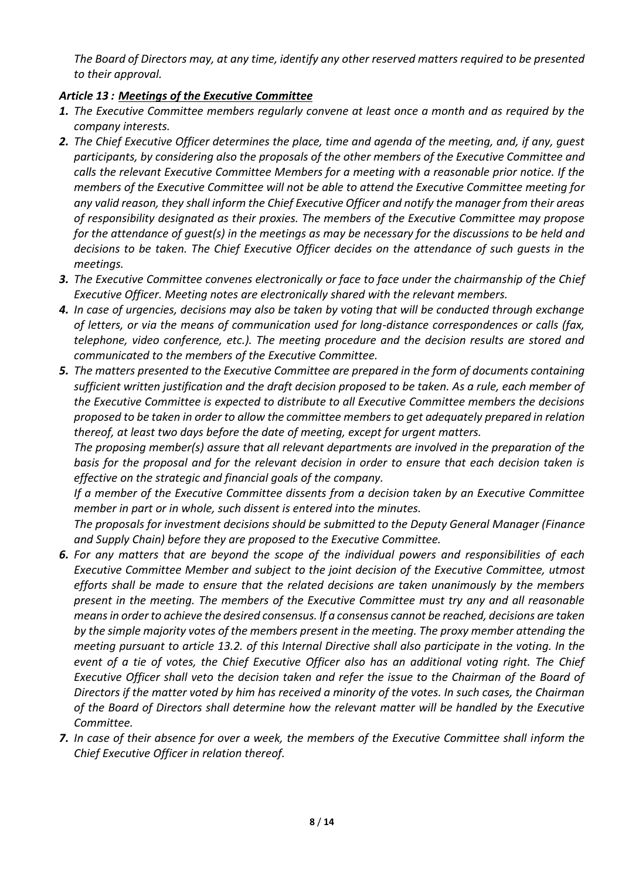*The Board of Directors may, at any time, identify any other reserved matters required to be presented to their approval.* 

#### *Article 13 : Meetings of the Executive Committee*

- *1. The Executive Committee members regularly convene at least once a month and as required by the company interests.*
- *2. The Chief Executive Officer determines the place, time and agenda of the meeting, and, if any, guest participants, by considering also the proposals of the other members of the Executive Committee and calls the relevant Executive Committee Members for a meeting with a reasonable prior notice. If the members of the Executive Committee will not be able to attend the Executive Committee meeting for any valid reason, they shall inform the Chief Executive Officer and notify the manager from their areas of responsibility designated as their proxies. The members of the Executive Committee may propose for the attendance of guest(s) in the meetings as may be necessary for the discussions to be held and decisions to be taken. The Chief Executive Officer decides on the attendance of such guests in the meetings.*
- *3. The Executive Committee convenes electronically or face to face under the chairmanship of the Chief Executive Officer. Meeting notes are electronically shared with the relevant members.*
- *4. In case of urgencies, decisions may also be taken by voting that will be conducted through exchange of letters, or via the means of communication used for long-distance correspondences or calls (fax, telephone, video conference, etc.). The meeting procedure and the decision results are stored and communicated to the members of the Executive Committee.*
- *5. The matters presented to the Executive Committee are prepared in the form of documents containing sufficient written justification and the draft decision proposed to be taken. As a rule, each member of the Executive Committee is expected to distribute to all Executive Committee members the decisions proposed to be taken in order to allow the committee members to get adequately prepared in relation thereof, at least two days before the date of meeting, except for urgent matters.*

*The proposing member(s) assure that all relevant departments are involved in the preparation of the basis for the proposal and for the relevant decision in order to ensure that each decision taken is effective on the strategic and financial goals of the company.* 

*If a member of the Executive Committee dissents from a decision taken by an Executive Committee member in part or in whole, such dissent is entered into the minutes.* 

*The proposals for investment decisions should be submitted to the Deputy General Manager (Finance and Supply Chain) before they are proposed to the Executive Committee.*

- *6. For any matters that are beyond the scope of the individual powers and responsibilities of each Executive Committee Member and subject to the joint decision of the Executive Committee, utmost efforts shall be made to ensure that the related decisions are taken unanimously by the members present in the meeting. The members of the Executive Committee must try any and all reasonable means in order to achieve the desired consensus. If a consensus cannot be reached, decisions are taken by the simple majority votes of the members present in the meeting. The proxy member attending the meeting pursuant to article 13.2. of this Internal Directive shall also participate in the voting. In the event of a tie of votes, the Chief Executive Officer also has an additional voting right. The Chief Executive Officer shall veto the decision taken and refer the issue to the Chairman of the Board of Directors if the matter voted by him has received a minority of the votes. In such cases, the Chairman of the Board of Directors shall determine how the relevant matter will be handled by the Executive Committee.*
- *7. In case of their absence for over a week, the members of the Executive Committee shall inform the Chief Executive Officer in relation thereof.*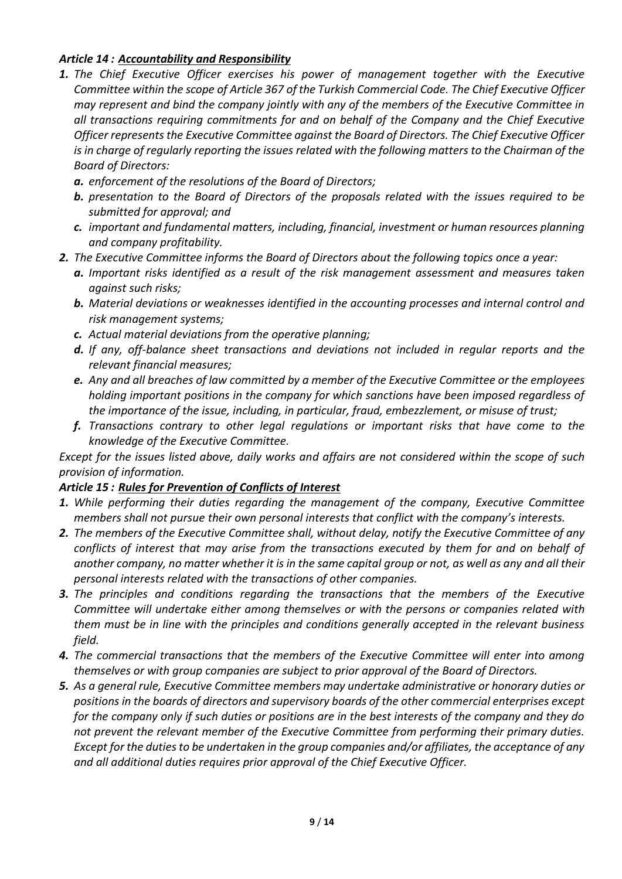#### *Article 14 : Accountability and Responsibility*

- *1. The Chief Executive Officer exercises his power of management together with the Executive Committee within the scope of Article 367 of the Turkish Commercial Code. The Chief Executive Officer may represent and bind the company jointly with any of the members of the Executive Committee in all transactions requiring commitments for and on behalf of the Company and the Chief Executive Officer represents the Executive Committee against the Board of Directors. The Chief Executive Officer is in charge of regularly reporting the issues related with the following matters to the Chairman of the Board of Directors:* 
	- *a. enforcement of the resolutions of the Board of Directors;*
	- *b. presentation to the Board of Directors of the proposals related with the issues required to be submitted for approval; and*
	- *c. important and fundamental matters, including, financial, investment or human resources planning and company profitability.*
- *2. The Executive Committee informs the Board of Directors about the following topics once a year:*
	- *a. Important risks identified as a result of the risk management assessment and measures taken against such risks;*
	- *b. Material deviations or weaknesses identified in the accounting processes and internal control and risk management systems;*
	- *c. Actual material deviations from the operative planning;*
	- *d. If any, off-balance sheet transactions and deviations not included in regular reports and the relevant financial measures;*
	- *e. Any and all breaches of law committed by a member of the Executive Committee or the employees holding important positions in the company for which sanctions have been imposed regardless of the importance of the issue, including, in particular, fraud, embezzlement, or misuse of trust;*
	- *f. Transactions contrary to other legal regulations or important risks that have come to the knowledge of the Executive Committee.*

*Except for the issues listed above, daily works and affairs are not considered within the scope of such provision of information.* 

#### *Article 15 : Rules for Prevention of Conflicts of Interest*

- *1. While performing their duties regarding the management of the company, Executive Committee members shall not pursue their own personal interests that conflict with the company's interests.*
- *2. The members of the Executive Committee shall, without delay, notify the Executive Committee of any conflicts of interest that may arise from the transactions executed by them for and on behalf of another company, no matter whether it is in the same capital group or not, as well as any and all their personal interests related with the transactions of other companies.*
- *3. The principles and conditions regarding the transactions that the members of the Executive Committee will undertake either among themselves or with the persons or companies related with them must be in line with the principles and conditions generally accepted in the relevant business field.*
- *4. The commercial transactions that the members of the Executive Committee will enter into among themselves or with group companies are subject to prior approval of the Board of Directors.*
- *5. As a general rule, Executive Committee members may undertake administrative or honorary duties or positions in the boards of directors and supervisory boards of the other commercial enterprises except for the company only if such duties or positions are in the best interests of the company and they do not prevent the relevant member of the Executive Committee from performing their primary duties. Except for the duties to be undertaken in the group companies and/or affiliates, the acceptance of any and all additional duties requires prior approval of the Chief Executive Officer.*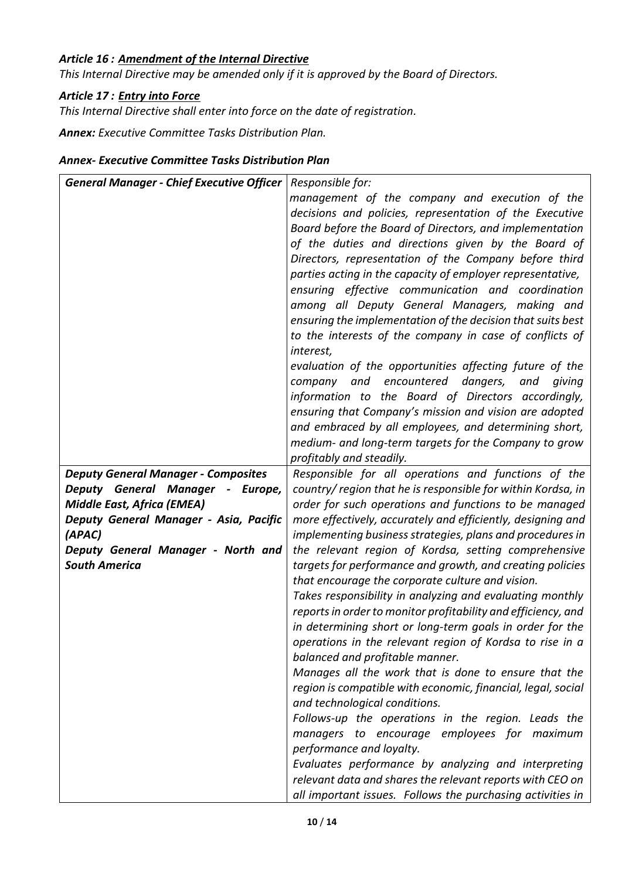# *Article 16 : Amendment of the Internal Directive*

*This Internal Directive may be amended only if it is approved by the Board of Directors.* 

#### *Article 17 : Entry into Force*

*This Internal Directive shall enter into force on the date of registration.*

*Annex: Executive Committee Tasks Distribution Plan.*

#### *Annex- Executive Committee Tasks Distribution Plan*

| <b>General Manager - Chief Executive Officer</b> | Responsible for:                                                                                                     |
|--------------------------------------------------|----------------------------------------------------------------------------------------------------------------------|
|                                                  | management of the company and execution of the                                                                       |
|                                                  | decisions and policies, representation of the Executive                                                              |
|                                                  | Board before the Board of Directors, and implementation                                                              |
|                                                  | of the duties and directions given by the Board of                                                                   |
|                                                  | Directors, representation of the Company before third                                                                |
|                                                  | parties acting in the capacity of employer representative,                                                           |
|                                                  | ensuring effective communication and coordination                                                                    |
|                                                  | among all Deputy General Managers, making and                                                                        |
|                                                  | ensuring the implementation of the decision that suits best                                                          |
|                                                  | to the interests of the company in case of conflicts of                                                              |
|                                                  | interest,                                                                                                            |
|                                                  | evaluation of the opportunities affecting future of the                                                              |
|                                                  | company and<br>encountered dangers,<br>and<br>giving                                                                 |
|                                                  | information to the Board of Directors accordingly,                                                                   |
|                                                  | ensuring that Company's mission and vision are adopted                                                               |
|                                                  | and embraced by all employees, and determining short,                                                                |
|                                                  | medium- and long-term targets for the Company to grow                                                                |
|                                                  | profitably and steadily.                                                                                             |
| <b>Deputy General Manager - Composites</b>       | Responsible for all operations and functions of the                                                                  |
| Deputy General Manager - Europe,                 | country/ region that he is responsible for within Kordsa, in                                                         |
| <b>Middle East, Africa (EMEA)</b>                | order for such operations and functions to be managed                                                                |
| Deputy General Manager - Asia, Pacific           | more effectively, accurately and efficiently, designing and                                                          |
| (APAC)                                           | implementing business strategies, plans and procedures in                                                            |
| Deputy General Manager - North and               | the relevant region of Kordsa, setting comprehensive                                                                 |
| <b>South America</b>                             | targets for performance and growth, and creating policies                                                            |
|                                                  | that encourage the corporate culture and vision.                                                                     |
|                                                  | Takes responsibility in analyzing and evaluating monthly                                                             |
|                                                  | reports in order to monitor profitability and efficiency, and                                                        |
|                                                  | in determining short or long-term goals in order for the<br>operations in the relevant region of Kordsa to rise in a |
|                                                  | balanced and profitable manner.                                                                                      |
|                                                  | Manages all the work that is done to ensure that the                                                                 |
|                                                  | region is compatible with economic, financial, legal, social                                                         |
|                                                  | and technological conditions.                                                                                        |
|                                                  | Follows-up the operations in the region. Leads the                                                                   |
|                                                  | managers to encourage employees for maximum                                                                          |
|                                                  | performance and loyalty.                                                                                             |
|                                                  | Evaluates performance by analyzing and interpreting                                                                  |
|                                                  | relevant data and shares the relevant reports with CEO on                                                            |
|                                                  | all important issues. Follows the purchasing activities in                                                           |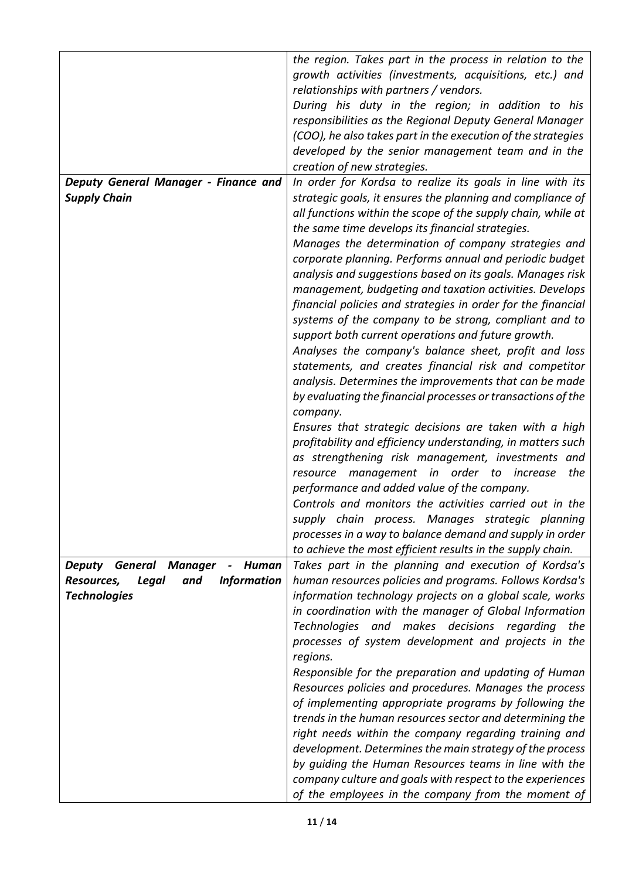|                                                          | the region. Takes part in the process in relation to the     |
|----------------------------------------------------------|--------------------------------------------------------------|
|                                                          | growth activities (investments, acquisitions, etc.) and      |
|                                                          | relationships with partners / vendors.                       |
|                                                          | During his duty in the region; in addition to his            |
|                                                          | responsibilities as the Regional Deputy General Manager      |
|                                                          | (COO), he also takes part in the execution of the strategies |
|                                                          | developed by the senior management team and in the           |
|                                                          | creation of new strategies.                                  |
|                                                          |                                                              |
| Deputy General Manager - Finance and                     | In order for Kordsa to realize its goals in line with its    |
| <b>Supply Chain</b>                                      | strategic goals, it ensures the planning and compliance of   |
|                                                          | all functions within the scope of the supply chain, while at |
|                                                          | the same time develops its financial strategies.             |
|                                                          | Manages the determination of company strategies and          |
|                                                          | corporate planning. Performs annual and periodic budget      |
|                                                          | analysis and suggestions based on its goals. Manages risk    |
|                                                          | management, budgeting and taxation activities. Develops      |
|                                                          | financial policies and strategies in order for the financial |
|                                                          | systems of the company to be strong, compliant and to        |
|                                                          | support both current operations and future growth.           |
|                                                          | Analyses the company's balance sheet, profit and loss        |
|                                                          | statements, and creates financial risk and competitor        |
|                                                          | analysis. Determines the improvements that can be made       |
|                                                          | by evaluating the financial processes or transactions of the |
|                                                          | company.                                                     |
|                                                          | Ensures that strategic decisions are taken with a high       |
|                                                          | profitability and efficiency understanding, in matters such  |
|                                                          | as strengthening risk management, investments and            |
|                                                          | resource management in order to increase<br>the              |
|                                                          | performance and added value of the company.                  |
|                                                          | Controls and monitors the activities carried out in the      |
|                                                          |                                                              |
|                                                          | supply chain process. Manages strategic planning             |
|                                                          | processes in a way to balance demand and supply in order     |
|                                                          | to achieve the most efficient results in the supply chain.   |
| <b>Deputy General Manager</b><br>Human<br>$\blacksquare$ | Takes part in the planning and execution of Kordsa's         |
| <b>Information</b><br>Resources,<br>Legal<br>and         | human resources policies and programs. Follows Kordsa's      |
| <b>Technologies</b>                                      | information technology projects on a global scale, works     |
|                                                          | in coordination with the manager of Global Information       |
|                                                          | Technologies and makes decisions regarding<br>the            |
|                                                          |                                                              |
|                                                          | processes of system development and projects in the          |
|                                                          | regions.                                                     |
|                                                          | Responsible for the preparation and updating of Human        |
|                                                          | Resources policies and procedures. Manages the process       |
|                                                          | of implementing appropriate programs by following the        |
|                                                          | trends in the human resources sector and determining the     |
|                                                          | right needs within the company regarding training and        |
|                                                          | development. Determines the main strategy of the process     |
|                                                          | by guiding the Human Resources teams in line with the        |
|                                                          | company culture and goals with respect to the experiences    |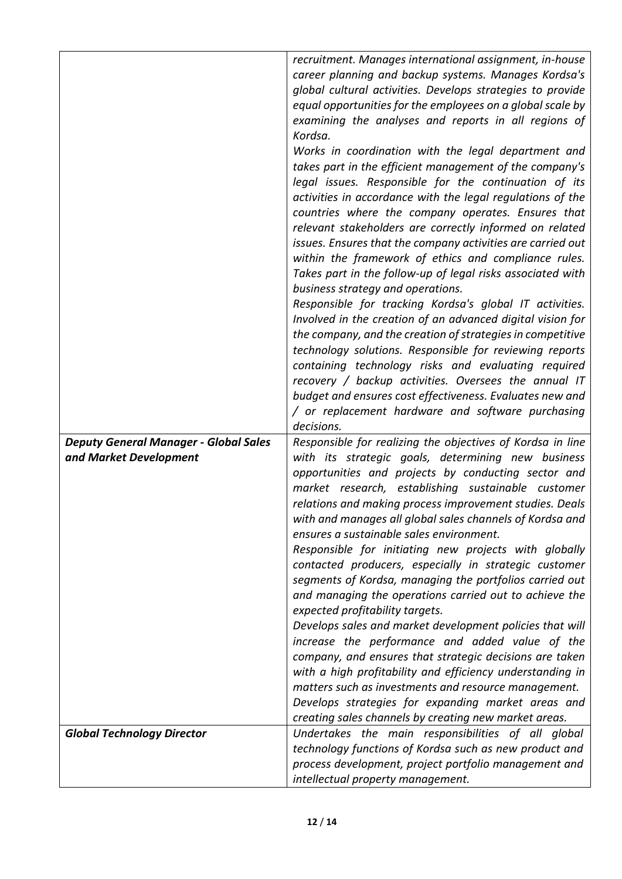|                                              | recruitment. Manages international assignment, in-house                                                             |
|----------------------------------------------|---------------------------------------------------------------------------------------------------------------------|
|                                              | career planning and backup systems. Manages Kordsa's                                                                |
|                                              | global cultural activities. Develops strategies to provide                                                          |
|                                              | equal opportunities for the employees on a global scale by                                                          |
|                                              | examining the analyses and reports in all regions of                                                                |
|                                              | Kordsa.                                                                                                             |
|                                              | Works in coordination with the legal department and                                                                 |
|                                              | takes part in the efficient management of the company's                                                             |
|                                              | legal issues. Responsible for the continuation of its                                                               |
|                                              | activities in accordance with the legal regulations of the                                                          |
|                                              | countries where the company operates. Ensures that                                                                  |
|                                              | relevant stakeholders are correctly informed on related                                                             |
|                                              | issues. Ensures that the company activities are carried out                                                         |
|                                              | within the framework of ethics and compliance rules.                                                                |
|                                              | Takes part in the follow-up of legal risks associated with                                                          |
|                                              | business strategy and operations.                                                                                   |
|                                              | Responsible for tracking Kordsa's global IT activities.                                                             |
|                                              | Involved in the creation of an advanced digital vision for                                                          |
|                                              | the company, and the creation of strategies in competitive                                                          |
|                                              |                                                                                                                     |
|                                              | technology solutions. Responsible for reviewing reports                                                             |
|                                              | containing technology risks and evaluating required                                                                 |
|                                              | recovery / backup activities. Oversees the annual IT                                                                |
|                                              | budget and ensures cost effectiveness. Evaluates new and                                                            |
|                                              | / or replacement hardware and software purchasing                                                                   |
|                                              | decisions.                                                                                                          |
| <b>Deputy General Manager - Global Sales</b> | Responsible for realizing the objectives of Kordsa in line                                                          |
| and Market Development                       | with its strategic goals, determining new business                                                                  |
|                                              | opportunities and projects by conducting sector and                                                                 |
|                                              | market research, establishing sustainable customer                                                                  |
|                                              | relations and making process improvement studies. Deals<br>with and manages all global sales channels of Kordsa and |
|                                              | ensures a sustainable sales environment.                                                                            |
|                                              | Responsible for initiating new projects with globally                                                               |
|                                              | contacted producers, especially in strategic customer                                                               |
|                                              |                                                                                                                     |
|                                              | segments of Kordsa, managing the portfolios carried out<br>and managing the operations carried out to achieve the   |
|                                              | expected profitability targets.                                                                                     |
|                                              | Develops sales and market development policies that will                                                            |
|                                              | increase the performance and added value of the                                                                     |
|                                              | company, and ensures that strategic decisions are taken                                                             |
|                                              |                                                                                                                     |
|                                              | with a high profitability and efficiency understanding in<br>matters such as investments and resource management.   |
|                                              | Develops strategies for expanding market areas and                                                                  |
|                                              |                                                                                                                     |
|                                              | creating sales channels by creating new market areas.                                                               |
| <b>Global Technology Director</b>            | Undertakes the main responsibilities of all global                                                                  |
|                                              |                                                                                                                     |
|                                              | technology functions of Kordsa such as new product and                                                              |
|                                              | process development, project portfolio management and<br>intellectual property management.                          |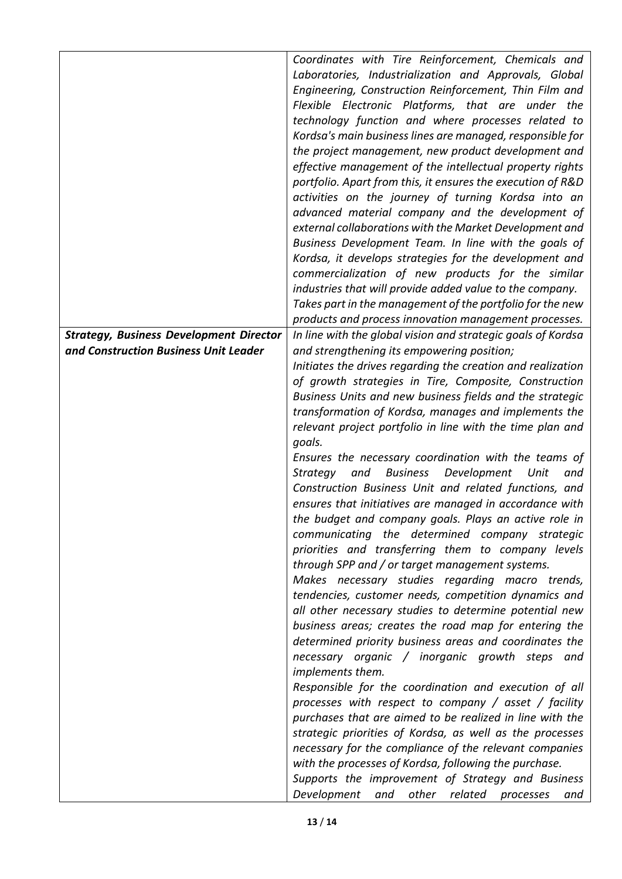|                                                | Coordinates with Tire Reinforcement, Chemicals and<br>Laboratories, Industrialization and Approvals, Global<br>Engineering, Construction Reinforcement, Thin Film and |
|------------------------------------------------|-----------------------------------------------------------------------------------------------------------------------------------------------------------------------|
|                                                | Flexible Electronic Platforms, that are under the<br>technology function and where processes related to                                                               |
|                                                | Kordsa's main business lines are managed, responsible for                                                                                                             |
|                                                | the project management, new product development and                                                                                                                   |
|                                                | effective management of the intellectual property rights                                                                                                              |
|                                                | portfolio. Apart from this, it ensures the execution of R&D                                                                                                           |
|                                                | activities on the journey of turning Kordsa into an<br>advanced material company and the development of                                                               |
|                                                | external collaborations with the Market Development and                                                                                                               |
|                                                | Business Development Team. In line with the goals of                                                                                                                  |
|                                                | Kordsa, it develops strategies for the development and                                                                                                                |
|                                                | commercialization of new products for the similar                                                                                                                     |
|                                                | industries that will provide added value to the company.<br>Takes part in the management of the portfolio for the new                                                 |
|                                                | products and process innovation management processes.                                                                                                                 |
| <b>Strategy, Business Development Director</b> | In line with the global vision and strategic goals of Kordsa                                                                                                          |
| and Construction Business Unit Leader          | and strengthening its empowering position;                                                                                                                            |
|                                                | Initiates the drives regarding the creation and realization                                                                                                           |
|                                                | of growth strategies in Tire, Composite, Construction<br>Business Units and new business fields and the strategic                                                     |
|                                                | transformation of Kordsa, manages and implements the                                                                                                                  |
|                                                | relevant project portfolio in line with the time plan and                                                                                                             |
|                                                | goals.                                                                                                                                                                |
|                                                | Ensures the necessary coordination with the teams of                                                                                                                  |
|                                                | <b>Business</b><br>Development<br>Strategy<br>and<br>Unit<br>and<br>Construction Business Unit and related functions, and                                             |
|                                                | ensures that initiatives are managed in accordance with                                                                                                               |
|                                                | the budget and company goals. Plays an active role in                                                                                                                 |
|                                                | communicating the determined company strategic                                                                                                                        |
|                                                | priorities and transferring them to company levels                                                                                                                    |
|                                                | through SPP and / or target management systems.<br>Makes necessary studies regarding macro trends,                                                                    |
|                                                | tendencies, customer needs, competition dynamics and                                                                                                                  |
|                                                | all other necessary studies to determine potential new                                                                                                                |
|                                                | business areas; creates the road map for entering the                                                                                                                 |
|                                                | determined priority business areas and coordinates the                                                                                                                |
|                                                | necessary organic / inorganic growth steps and                                                                                                                        |
|                                                | implements them.<br>Responsible for the coordination and execution of all                                                                                             |
|                                                | processes with respect to company / asset / facility                                                                                                                  |
|                                                | purchases that are aimed to be realized in line with the                                                                                                              |
|                                                | strategic priorities of Kordsa, as well as the processes                                                                                                              |
|                                                | necessary for the compliance of the relevant companies                                                                                                                |
|                                                | with the processes of Kordsa, following the purchase.<br>Supports the improvement of Strategy and Business                                                            |
|                                                | Development<br>other<br>related<br>and<br>processes<br>and                                                                                                            |